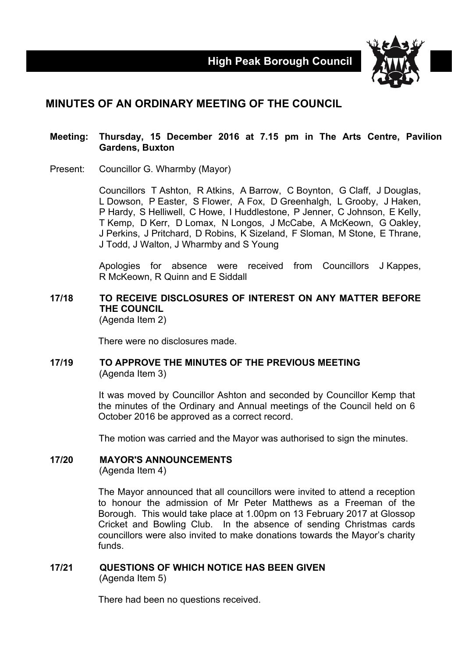

# **MINUTES OF AN ORDINARY MEETING OF THE COUNCIL**

#### **Meeting: Thursday, 15 December 2016 at 7.15 pm in The Arts Centre, Pavilion Gardens, Buxton**

Present: Councillor G. Wharmby (Mayor)

Councillors T Ashton, R Atkins, A Barrow, C Boynton, G Claff, J Douglas, L Dowson, P Easter, S Flower, A Fox, D Greenhalgh, L Grooby, J Haken, P Hardy, S Helliwell, C Howe, I Huddlestone, P Jenner, C Johnson, E Kelly, T Kemp, D Kerr, D Lomax, N Longos, J McCabe, A McKeown, G Oakley, J Perkins, J Pritchard, D Robins, K Sizeland, F Sloman, M Stone, E Thrane, J Todd, J Walton, J Wharmby and S Young

Apologies for absence were received from Councillors J Kappes, R McKeown, R Quinn and E Siddall

#### **17/18 TO RECEIVE DISCLOSURES OF INTEREST ON ANY MATTER BEFORE THE COUNCIL** (Agenda Item 2)

There were no disclosures made.

#### **17/19 TO APPROVE THE MINUTES OF THE PREVIOUS MEETING** (Agenda Item 3)

It was moved by Councillor Ashton and seconded by Councillor Kemp that the minutes of the Ordinary and Annual meetings of the Council held on 6 October 2016 be approved as a correct record.

The motion was carried and the Mayor was authorised to sign the minutes.

# **17/20 MAYOR'S ANNOUNCEMENTS**

(Agenda Item 4)

The Mayor announced that all councillors were invited to attend a reception to honour the admission of Mr Peter Matthews as a Freeman of the Borough. This would take place at 1.00pm on 13 February 2017 at Glossop Cricket and Bowling Club. In the absence of sending Christmas cards councillors were also invited to make donations towards the Mayor's charity funds.

## **17/21 QUESTIONS OF WHICH NOTICE HAS BEEN GIVEN** (Agenda Item 5)

There had been no questions received.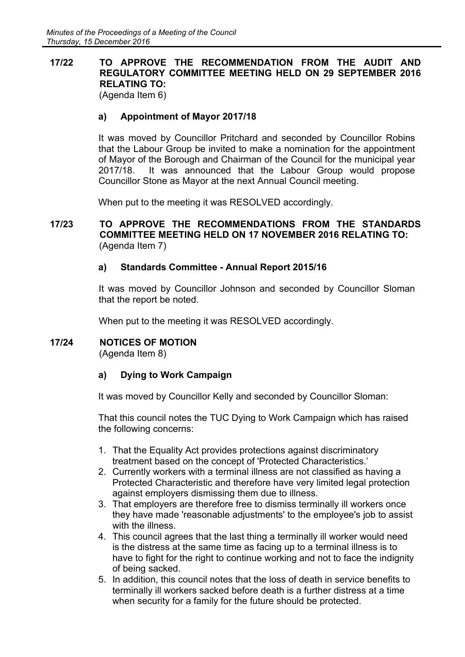# **17/22 TO APPROVE THE RECOMMENDATION FROM THE AUDIT AND REGULATORY COMMITTEE MEETING HELD ON 29 SEPTEMBER 2016 RELATING TO:**

(Agenda Item 6)

# **a) Appointment of Mayor 2017/18**

It was moved by Councillor Pritchard and seconded by Councillor Robins that the Labour Group be invited to make a nomination for the appointment of Mayor of the Borough and Chairman of the Council for the municipal year 2017/18. It was announced that the Labour Group would propose Councillor Stone as Mayor at the next Annual Council meeting.

When put to the meeting it was RESOLVED accordingly.

## **17/23 TO APPROVE THE RECOMMENDATIONS FROM THE STANDARDS COMMITTEE MEETING HELD ON 17 NOVEMBER 2016 RELATING TO:** (Agenda Item 7)

# **a) Standards Committee - Annual Report 2015/16**

It was moved by Councillor Johnson and seconded by Councillor Sloman that the report be noted.

When put to the meeting it was RESOLVED accordingly.

## **17/24 NOTICES OF MOTION**

(Agenda Item 8)

## **a) Dying to Work Campaign**

It was moved by Councillor Kelly and seconded by Councillor Sloman:

That this council notes the TUC Dying to Work Campaign which has raised the following concerns:

- 1. That the Equality Act provides protections against discriminatory treatment based on the concept of 'Protected Characteristics.'
- 2. Currently workers with a terminal illness are not classified as having a Protected Characteristic and therefore have very limited legal protection against employers dismissing them due to illness.
- 3. That employers are therefore free to dismiss terminally ill workers once they have made 'reasonable adjustments' to the employee's job to assist with the illness.
- 4. This council agrees that the last thing a terminally ill worker would need is the distress at the same time as facing up to a terminal illness is to have to fight for the right to continue working and not to face the indignity of being sacked.
- 5. In addition, this council notes that the loss of death in service benefits to terminally ill workers sacked before death is a further distress at a time when security for a family for the future should be protected.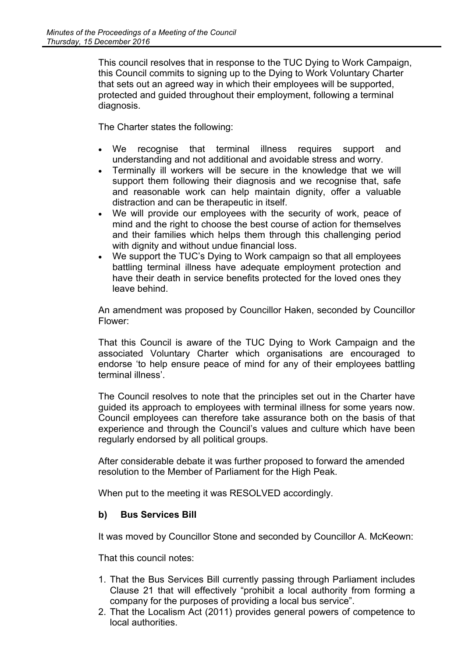This council resolves that in response to the TUC Dying to Work Campaign, this Council commits to signing up to the Dying to Work Voluntary Charter that sets out an agreed way in which their employees will be supported, protected and guided throughout their employment, following a terminal diagnosis.

The Charter states the following:

- We recognise that terminal illness requires support and understanding and not additional and avoidable stress and worry.
- Terminally ill workers will be secure in the knowledge that we will support them following their diagnosis and we recognise that, safe and reasonable work can help maintain dignity, offer a valuable distraction and can be therapeutic in itself.
- We will provide our employees with the security of work, peace of mind and the right to choose the best course of action for themselves and their families which helps them through this challenging period with dignity and without undue financial loss.
- We support the TUC's Dying to Work campaign so that all employees battling terminal illness have adequate employment protection and have their death in service benefits protected for the loved ones they leave behind.

An amendment was proposed by Councillor Haken, seconded by Councillor Flower:

That this Council is aware of the TUC Dying to Work Campaign and the associated Voluntary Charter which organisations are encouraged to endorse 'to help ensure peace of mind for any of their employees battling terminal illness'.

The Council resolves to note that the principles set out in the Charter have guided its approach to employees with terminal illness for some years now. Council employees can therefore take assurance both on the basis of that experience and through the Council's values and culture which have been regularly endorsed by all political groups.

After considerable debate it was further proposed to forward the amended resolution to the Member of Parliament for the High Peak.

When put to the meeting it was RESOLVED accordingly.

## **b) Bus Services Bill**

It was moved by Councillor Stone and seconded by Councillor A. McKeown:

That this council notes:

- 1. That the Bus Services Bill currently passing through Parliament includes Clause 21 that will effectively "prohibit a local authority from forming a company for the purposes of providing a local bus service".
- 2. That the Localism Act (2011) provides general powers of competence to local authorities.